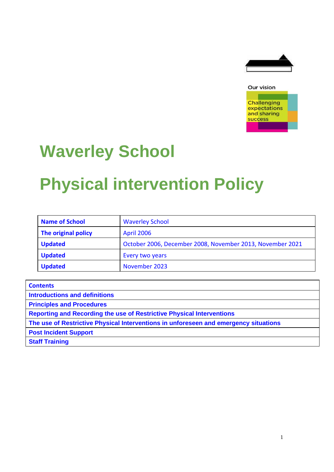



# **Waverley School**

# **Physical intervention Policy**

| <b>Name of School</b> | <b>Waverley School</b>                                    |  |  |  |
|-----------------------|-----------------------------------------------------------|--|--|--|
| The original policy   | <b>April 2006</b>                                         |  |  |  |
| <b>Updated</b>        | October 2006, December 2008, November 2013, November 2021 |  |  |  |
| <b>Updated</b>        | Every two years                                           |  |  |  |
| <b>Updated</b>        | November 2023                                             |  |  |  |

| <b>Contents</b>                                                                      |
|--------------------------------------------------------------------------------------|
| <b>Introductions and definitions</b>                                                 |
| <b>Principles and Procedures</b>                                                     |
| <b>Reporting and Recording the use of Restrictive Physical Interventions</b>         |
| The use of Restrictive Physical Interventions in unforeseen and emergency situations |
| <b>Post Incident Support</b>                                                         |
| <b>Staff Training</b>                                                                |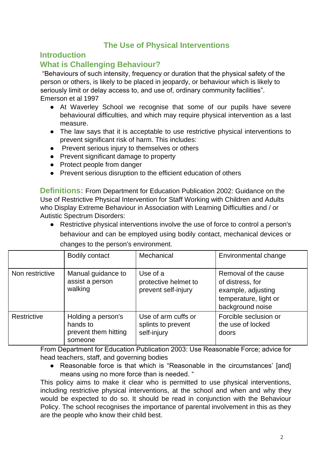## **The Use of Physical Interventions**

#### **Introduction**

### **What is Challenging Behaviour?**

"Behaviours of such intensity, frequency or duration that the physical safety of the person or others, is likely to be placed in jeopardy, or behaviour which is likely to seriously limit or delay access to, and use of, ordinary community facilities". Emerson et al 1997

- At Waverley School we recognise that some of our pupils have severe behavioural difficulties, and which may require physical intervention as a last measure.
- The law says that it is acceptable to use restrictive physical interventions to prevent significant risk of harm. This includes:
- Prevent serious injury to themselves or others
- Prevent significant damage to property
- Protect people from danger
- Prevent serious disruption to the efficient education of others

**Definitions:** From Department for Education Publication 2002: Guidance on the Use of Restrictive Physical Intervention for Staff Working with Children and Adults who Display Extreme Behaviour in Association with Learning Difficulties and / or Autistic Spectrum Disorders:

● Restrictive physical interventions involve the use of force to control a person's behaviour and can be employed using bodily contact, mechanical devices or

|                 | <b>Bodily contact</b>                                             | Mechanical                                               | Environmental change                                                                                        |
|-----------------|-------------------------------------------------------------------|----------------------------------------------------------|-------------------------------------------------------------------------------------------------------------|
| Non restrictive | Manual guidance to<br>assist a person<br>walking                  | Use of a<br>protective helmet to<br>prevent self-injury  | Removal of the cause<br>of distress, for<br>example, adjusting<br>temperature, light or<br>background noise |
| Restrictive     | Holding a person's<br>hands to<br>prevent them hitting<br>someone | Use of arm cuffs or<br>splints to prevent<br>self-injury | Forcible seclusion or<br>the use of locked<br>doors                                                         |

changes to the person's environment.

From Department for Education Publication 2003: Use Reasonable Force; advice for head teachers, staff, and governing bodies

● Reasonable force is that which is "Reasonable in the circumstances' [and] means using no more force than is needed. "

This policy aims to make it clear who is permitted to use physical interventions, including restrictive physical interventions, at the school and when and why they would be expected to do so. It should be read in conjunction with the Behaviour Policy. The school recognises the importance of parental involvement in this as they are the people who know their child best.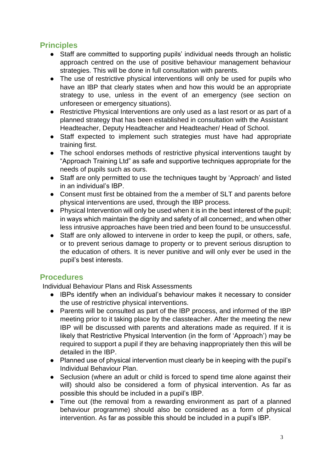# **Principles**

- Staff are committed to supporting pupils' individual needs through an holistic approach centred on the use of positive behaviour management behaviour strategies. This will be done in full consultation with parents.
- The use of restrictive physical interventions will only be used for pupils who have an IBP that clearly states when and how this would be an appropriate strategy to use, unless in the event of an emergency (see section on unforeseen or emergency situations).
- Restrictive Physical Interventions are only used as a last resort or as part of a planned strategy that has been established in consultation with the Assistant Headteacher, Deputy Headteacher and Headteacher/ Head of School.
- Staff expected to implement such strategies must have had appropriate training first.
- The school endorses methods of restrictive physical interventions taught by "Approach Training Ltd" as safe and supportive techniques appropriate for the needs of pupils such as ours.
- Staff are only permitted to use the techniques taught by 'Approach' and listed in an individual's IBP.
- Consent must first be obtained from the a member of SLT and parents before physical interventions are used, through the IBP process.
- Physical Intervention will only be used when it is in the best interest of the pupil; in ways which maintain the dignity and safety of all concerned;, and when other less intrusive approaches have been tried and been found to be unsuccessful.
- Staff are only allowed to intervene in order to keep the pupil, or others, safe, or to prevent serious damage to property or to prevent serious disruption to the education of others. It is never punitive and will only ever be used in the pupil's best interests.

### **Procedures**

Individual Behaviour Plans and Risk Assessments

- IBPs identify when an individual's behaviour makes it necessary to consider the use of restrictive physical interventions.
- Parents will be consulted as part of the IBP process, and informed of the IBP meeting prior to it taking place by the classteacher. After the meeting the new IBP will be discussed with parents and alterations made as required. If it is likely that Restrictive Physical Intervention (in the form of 'Approach') may be required to support a pupil if they are behaving inappropriately then this will be detailed in the IBP.
- Planned use of physical intervention must clearly be in keeping with the pupil's Individual Behaviour Plan.
- Seclusion (where an adult or child is forced to spend time alone against their will) should also be considered a form of physical intervention. As far as possible this should be included in a pupil's IBP.
- Time out (the removal from a rewarding environment as part of a planned behaviour programme) should also be considered as a form of physical intervention. As far as possible this should be included in a pupil's IBP.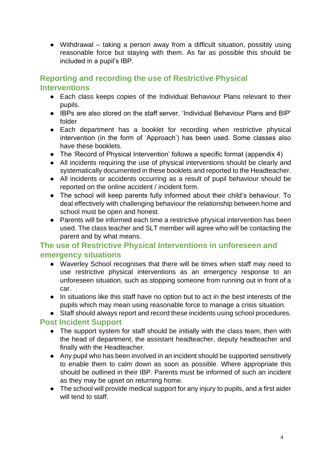● Withdrawal – taking a person away from a difficult situation, possibly using reasonable force but staying with them. As far as possible this should be included in a pupil's IBP.

## **Reporting and recording the use of Restrictive Physical Interventions**

- Each class keeps copies of the Individual Behaviour Plans relevant to their pupils.
- IBPs are also stored on the staff server, 'Individual Behaviour Plans and BIP' folder
- Each department has a booklet for recording when restrictive physical intervention (in the form of 'Approach') has been used. Some classes also have these booklets.
- The 'Record of Physical Intervention' follows a specific format (appendix 4)
- All incidents requiring the use of physical interventions should be clearly and systematically documented in these booklets and reported to the Headteacher.
- All incidents or accidents occurring as a result of pupil behaviour should be reported on the online accident / incident form.
- The school will keep parents fully informed about their child's behaviour. To deal effectively with challenging behaviour the relationship between home and school must be open and honest.
- Parents will be informed each time a restrictive physical intervention has been used. The class teacher and SLT member will agree who will be contacting the parent and by what means.

### **The use of Restrictive Physical Interventions in unforeseen and emergency situations**

- Waverley School recognises that there will be times when staff may need to use restrictive physical interventions as an emergency response to an unforeseen situation, such as stopping someone from running out in front of a car.
- In situations like this staff have no option but to act in the best interests of the pupils which may mean using reasonable force to manage a crisis situation.

#### ● Staff should always report and record these incidents using school procedures.

#### **Post Incident Support**

- The support system for staff should be initially with the class team, then with the head of department, the assistant headteacher, deputy headteacher and finally with the Headteacher.
- Any pupil who has been involved in an incident should be supported sensitively to enable them to calm down as soon as possible. Where appropriate this should be outlined in their IBP. Parents must be informed of such an incident as they may be upset on returning home.
- The school will provide medical support for any injury to pupils, and a first aider will tend to staff.